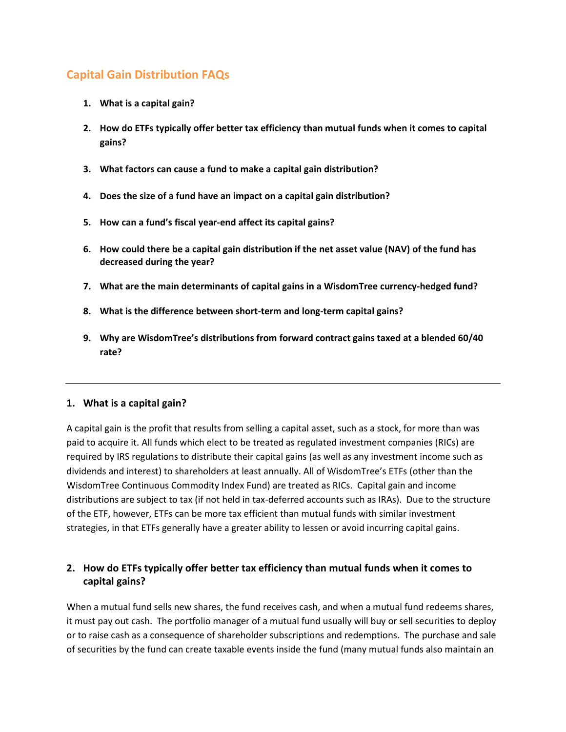# **Capital Gain Distribution FAQs**

- **1. [What is a capital gain?](#page-0-0)**
- **2. How do ETFs typically offer better tax efficiency than mutual funds when it comes to capital gains?**
- **3. What factors can cause a fund to make a capital gain distribution?**
- **4. Does the size of a fund have an impact on a capital gain distribution?**
- **5. How can a fund's fiscal year-end affect its capital gains?**
- **6. How could there be a capital gain distribution if the net asset value (NAV) of the fund has decreased during the year?**
- **7. [What are the main determinants of capital gains in a](#page-2-0) WisdomTree currency-hedged fund?**
- **8. [What is the difference between short-term and long-term capital gains?](#page-2-1)**
- **9. Why are WisdomTree's [distributions from forward contract gains taxed](#page-2-2) at a blended 60/40 [rate?](#page-2-2)**

### <span id="page-0-0"></span>**1. What is a capital gain?**

A capital gain is the profit that results from selling a capital asset, such as a stock, for more than was paid to acquire it. All funds which elect to be treated as regulated investment companies (RICs) are required by IRS regulations to distribute their capital gains (as well as any investment income such as dividends and interest) to shareholders at least annually. All of WisdomTree's ETFs (other than the WisdomTree Continuous Commodity Index Fund) are treated as RICs. Capital gain and income distributions are subject to tax (if not held in tax-deferred accounts such as IRAs). Due to the structure of the ETF, however, ETFs can be more tax efficient than mutual funds with similar investment strategies, in that ETFs generally have a greater ability to lessen or avoid incurring capital gains.

## **2. How do ETFs typically offer better tax efficiency than mutual funds when it comes to capital gains?**

When a mutual fund sells new shares, the fund receives cash, and when a mutual fund redeems shares, it must pay out cash. The portfolio manager of a mutual fund usually will buy or sell securities to deploy or to raise cash as a consequence of shareholder subscriptions and redemptions. The purchase and sale of securities by the fund can create taxable events inside the fund (many mutual funds also maintain an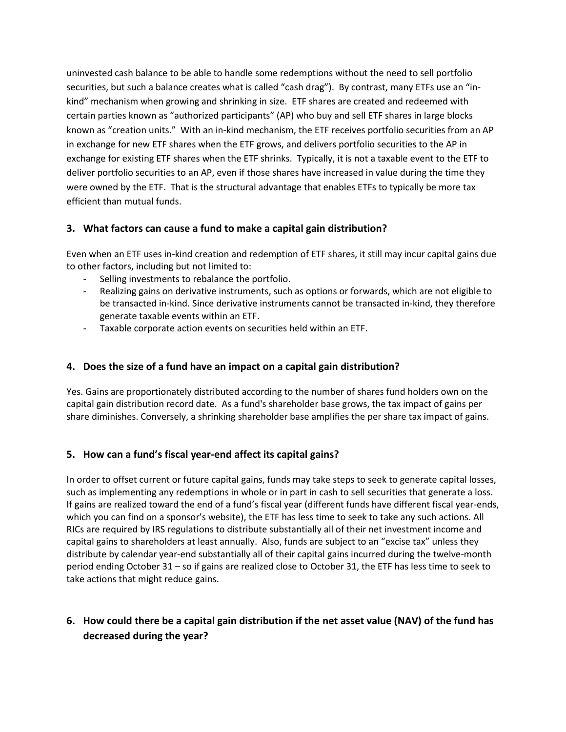uninvested cash balance to be able to handle some redemptions without the need to sell portfolio securities, but such a balance creates what is called "cash drag"). By contrast, many ETFs use an "inkind" mechanism when growing and shrinking in size. ETF shares are created and redeemed with certain parties known as "authorized participants" (AP) who buy and sell ETF shares in large blocks known as "creation units." With an in-kind mechanism, the ETF receives portfolio securities from an AP in exchange for new ETF shares when the ETF grows, and delivers portfolio securities to the AP in exchange for existing ETF shares when the ETF shrinks. Typically, it is not a taxable event to the ETF to deliver portfolio securities to an AP, even if those shares have increased in value during the time they were owned by the ETF. That is the structural advantage that enables ETFs to typically be more tax efficient than mutual funds.

### **3. What factors can cause a fund to make a capital gain distribution?**

Even when an ETF uses in-kind creation and redemption of ETF shares, it still may incur capital gains due to other factors, including but not limited to:

- Selling investments to rebalance the portfolio.
- Realizing gains on derivative instruments, such as options or forwards, which are not eligible to be transacted in-kind. Since derivative instruments cannot be transacted in-kind, they therefore generate taxable events within an ETF.
- Taxable corporate action events on securities held within an ETF.

### **4. Does the size of a fund have an impact on a capital gain distribution?**

Yes. Gains are proportionately distributed according to the number of shares fund holders own on the capital gain distribution record date. As a fund's shareholder base grows, the tax impact of gains per share diminishes. Conversely, a shrinking shareholder base amplifies the per share tax impact of gains.

### **5. How can a fund's fiscal year-end affect its capital gains?**

In order to offset current or future capital gains, funds may take steps to seek to generate capital losses, such as implementing any redemptions in whole or in part in cash to sell securities that generate a loss. If gains are realized toward the end of a fund's fiscal year (different funds have different fiscal year-ends, which you can find on a sponsor's website), the ETF has less time to seek to take any such actions. All RICs are required by IRS regulations to distribute substantially all of their net investment income and capital gains to shareholders at least annually. Also, funds are subject to an "excise tax" unless they distribute by calendar year-end substantially all of their capital gains incurred during the twelve-month period ending October 31 – so if gains are realized close to October 31, the ETF has less time to seek to take actions that might reduce gains.

## **6. How could there be a capital gain distribution if the net asset value (NAV) of the fund has decreased during the year?**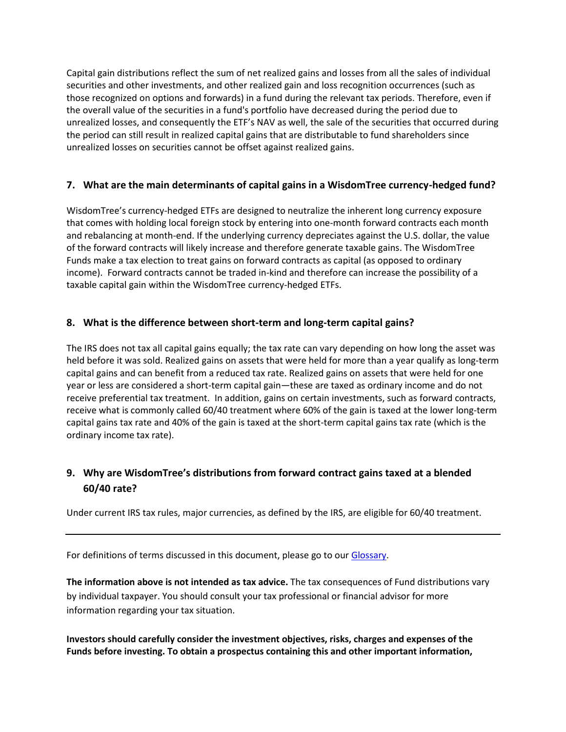Capital gain distributions reflect the sum of net realized gains and losses from all the sales of individual securities and other investments, and other realized gain and loss recognition occurrences (such as those recognized on options and forwards) in a fund during the relevant tax periods. Therefore, even if the overall value of the securities in a fund's portfolio have decreased during the period due to unrealized losses, and consequently the ETF's NAV as well, the sale of the securities that occurred during the period can still result in realized capital gains that are distributable to fund shareholders since unrealized losses on securities cannot be offset against realized gains.

### <span id="page-2-0"></span>**7. What are the main determinants of capital gains in a WisdomTree currency-hedged fund?**

WisdomTree's currency-hedged ETFs are designed to neutralize the inherent long currency exposure that comes with holding local foreign stock by entering into one-month forward contracts each month and rebalancing at month-end. If the underlying currency depreciates against the U.S. dollar, the value of the forward contracts will likely increase and therefore generate taxable gains. The WisdomTree Funds make a tax election to treat gains on forward contracts as capital (as opposed to ordinary income). Forward contracts cannot be traded in-kind and therefore can increase the possibility of a taxable capital gain within the WisdomTree currency-hedged ETFs.

### <span id="page-2-1"></span>**8. What is the difference between short-term and long-term capital gains?**

The IRS does not tax all capital gains equally; the tax rate can vary depending on how long the asset was held before it was sold. Realized gains on assets that were held for more than a year qualify as long-term capital gains and can benefit from a reduced tax rate. Realized gains on assets that were held for one year or less are considered a short-term capital gain—these are taxed as ordinary income and do not receive preferential tax treatment. In addition, gains on certain investments, such as forward contracts, receive what is commonly called 60/40 treatment where 60% of the gain is taxed at the lower long-term capital gains tax rate and 40% of the gain is taxed at the short-term capital gains tax rate (which is the ordinary income tax rate).

## <span id="page-2-2"></span>**9. Why are WisdomTree's distributions from forward contract gains taxed at a blended 60/40 rate?**

Under current IRS tax rules, major currencies, as defined by the IRS, are eligible for 60/40 treatment.

For definitions of terms discussed in this document, please go to our [Glossary.](http://www.wisdomtree.com/blog/index.php/glossary)

**The information above is not intended as tax advice.** The tax consequences of Fund distributions vary by individual taxpayer. You should consult your tax professional or financial advisor for more information regarding your tax situation.

**Investors should carefully consider the investment objectives, risks, charges and expenses of the Funds before investing. To obtain a prospectus containing this and other important information,**